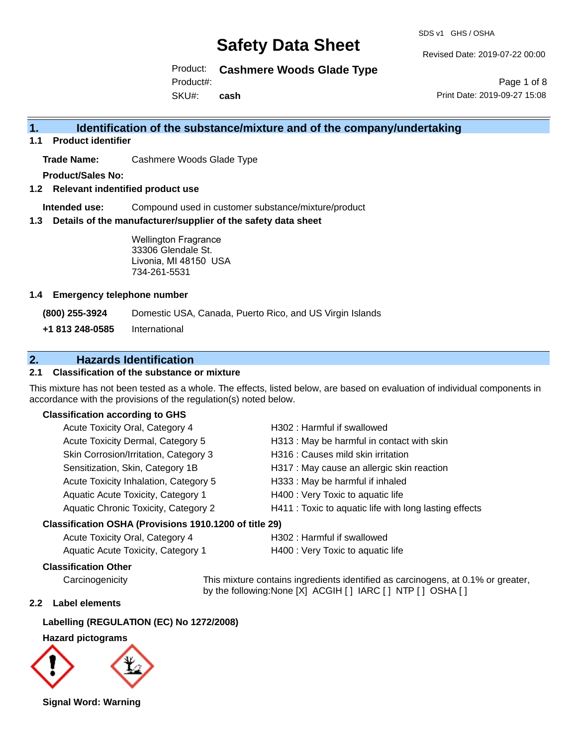SDS v1 GHS / OSHA

Revised Date: 2019-07-22 00:00

Product: **Cashmere Woods Glade Type**

Product#:

SKU#: **cash**

Page 1 of 8 Print Date: 2019-09-27 15:08

## **1. Identification of the substance/mixture and of the company/undertaking**

**1.1 Product identifier**

**Trade Name:** Cashmere Woods Glade Type

**Product/Sales No:**

**1.2 Relevant indentified product use**

**Intended use:** Compound used in customer substance/mixture/product

**1.3 Details of the manufacturer/supplier of the safety data sheet**

Wellington Fragrance 33306 Glendale St. Livonia, MI 48150 USA 734-261-5531

#### **1.4 Emergency telephone number**

**(800) 255-3924** Domestic USA, Canada, Puerto Rico, and US Virgin Islands

**+1 813 248-0585** International

## **2. Hazards Identification**

### **2.1 Classification of the substance or mixture**

This mixture has not been tested as a whole. The effects, listed below, are based on evaluation of individual components in accordance with the provisions of the regulation(s) noted below.

#### **Classification according to GHS**

| Acute Toxicity Oral, Category 4       | H302: Harmful if swallowed                             |
|---------------------------------------|--------------------------------------------------------|
| Acute Toxicity Dermal, Category 5     | H313 : May be harmful in contact with skin             |
| Skin Corrosion/Irritation, Category 3 | H316 : Causes mild skin irritation                     |
| Sensitization, Skin, Category 1B      | H317 : May cause an allergic skin reaction             |
| Acute Toxicity Inhalation, Category 5 | H333: May be harmful if inhaled                        |
| Aquatic Acute Toxicity, Category 1    | H400 : Very Toxic to aquatic life                      |
| Aquatic Chronic Toxicity, Category 2  | H411 : Toxic to aquatic life with long lasting effects |
| .                                     |                                                        |

#### **Classification OSHA (Provisions 1910.1200 of title 29)**

| Acute Toxicity Oral, Category 4    | H302 : Harmful if swallowed       |
|------------------------------------|-----------------------------------|
| Aquatic Acute Toxicity, Category 1 | H400 : Very Toxic to aquatic life |

#### **Classification Other**

Carcinogenicity This mixture contains ingredients identified as carcinogens, at 0.1% or greater, by the following:None [X] ACGIH [ ] IARC [ ] NTP [ ] OSHA [ ]

### **2.2 Label elements**

## **Labelling (REGULATION (EC) No 1272/2008)**

#### **Hazard pictograms**



**Signal Word: Warning**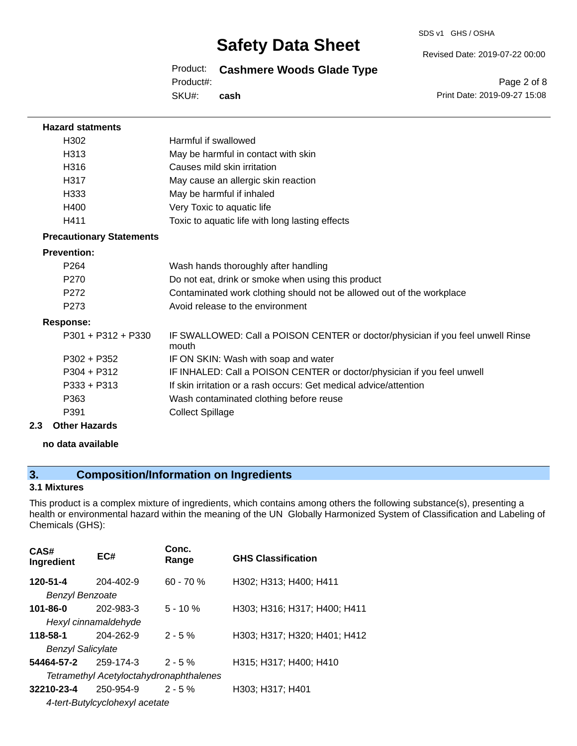#### SDS v1 GHS / OSHA

## **Safety Data Sheet**

Product: **Cashmere Woods Glade Type**

Product#:

SKU#: **cash** Revised Date: 2019-07-22 00:00

Page 2 of 8 Print Date: 2019-09-27 15:08

| <b>Hazard statments</b>         |                                                                                          |
|---------------------------------|------------------------------------------------------------------------------------------|
| H302                            | Harmful if swallowed                                                                     |
| H313                            | May be harmful in contact with skin                                                      |
| H316                            | Causes mild skin irritation                                                              |
| H317                            | May cause an allergic skin reaction                                                      |
| H333                            | May be harmful if inhaled                                                                |
| H400                            | Very Toxic to aquatic life                                                               |
| H411                            | Toxic to aquatic life with long lasting effects                                          |
| <b>Precautionary Statements</b> |                                                                                          |
| <b>Prevention:</b>              |                                                                                          |
| P <sub>264</sub>                | Wash hands thoroughly after handling                                                     |
| P <sub>270</sub>                | Do not eat, drink or smoke when using this product                                       |
| P272                            | Contaminated work clothing should not be allowed out of the workplace                    |
| P <sub>273</sub>                | Avoid release to the environment                                                         |
| <b>Response:</b>                |                                                                                          |
| $P301 + P312 + P330$            | IF SWALLOWED: Call a POISON CENTER or doctor/physician if you feel unwell Rinse<br>mouth |
| $P302 + P352$                   | IF ON SKIN: Wash with soap and water                                                     |
| $P304 + P312$                   | IF INHALED: Call a POISON CENTER or doctor/physician if you feel unwell                  |
| $P333 + P313$                   | If skin irritation or a rash occurs: Get medical advice/attention                        |
| P363                            | Wash contaminated clothing before reuse                                                  |
| P391                            | <b>Collect Spillage</b>                                                                  |
| 2.3<br><b>Other Hazards</b>     |                                                                                          |

**no data available**

## **3. Composition/Information on Ingredients**

## **3.1 Mixtures**

This product is a complex mixture of ingredients, which contains among others the following substance(s), presenting a health or environmental hazard within the meaning of the UN Globally Harmonized System of Classification and Labeling of Chemicals (GHS):

| CAS#<br>Ingredient       | EC#                                     | Conc.<br>Range | <b>GHS Classification</b>    |
|--------------------------|-----------------------------------------|----------------|------------------------------|
| 120-51-4                 | $204 - 402 - 9$                         | $60 - 70 %$    | H302; H313; H400; H411       |
| <b>Benzyl Benzoate</b>   |                                         |                |                              |
| 101-86-0                 | 202-983-3                               | $5 - 10 \%$    | H303; H316; H317; H400; H411 |
| Hexyl cinnamaldehyde     |                                         |                |                              |
| 118-58-1                 | 204-262-9                               | $2 - 5%$       | H303; H317; H320; H401; H412 |
| <b>Benzyl Salicylate</b> |                                         |                |                              |
| 54464-57-2               | 259-174-3                               | $2 - 5%$       | H315; H317; H400; H410       |
|                          | Tetramethyl Acetyloctahydronaphthalenes |                |                              |
| 32210-23-4               | 250-954-9                               | $2 - 5%$       | H303; H317; H401             |
|                          | 4-tert-Butylcyclohexyl acetate          |                |                              |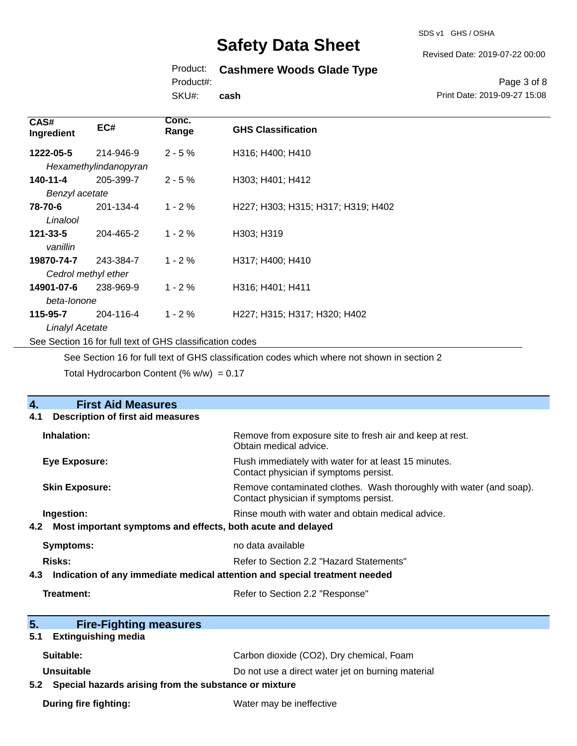SDS v1 GHS / OSHA

Revised Date: 2019-07-22 00:00

## Product: **Cashmere Woods Glade Type**

Product#:

SKU#: **cash**

#### Page 3 of 8 Print Date: 2019-09-27 15:08

| CAS#<br>Ingredient                                       | EC#                   | Conc.<br>Range | <b>GHS Classification</b>          |
|----------------------------------------------------------|-----------------------|----------------|------------------------------------|
| 1222-05-5                                                | 214-946-9             | $2 - 5%$       | H316; H400; H410                   |
|                                                          | Hexamethylindanopyran |                |                                    |
| 140-11-4                                                 | 205-399-7             | $2 - 5%$       | H303; H401; H412                   |
| Benzyl acetate                                           |                       |                |                                    |
| 78-70-6                                                  | 201-134-4             | $1 - 2%$       | H227; H303; H315; H317; H319; H402 |
| Linalool                                                 |                       |                |                                    |
| $121 - 33 - 5$                                           | 204-465-2             | $1 - 2%$       | H303; H319                         |
| vanillin                                                 |                       |                |                                    |
| 19870-74-7                                               | 243-384-7             | $1 - 2%$       | H317; H400; H410                   |
| Cedrol methyl ether                                      |                       |                |                                    |
| 14901-07-6                                               | 238-969-9             | $1 - 2%$       | H316; H401; H411                   |
| beta-lonone                                              |                       |                |                                    |
| 115-95-7                                                 | 204-116-4             | $1 - 2%$       | H227; H315; H317; H320; H402       |
| <b>Linalyl Acetate</b>                                   |                       |                |                                    |
| See Section 16 for full text of GHS classification codes |                       |                |                                    |

See Section 16 for full text of GHS classification codes which where not shown in section 2

Total Hydrocarbon Content (%  $w/w$ ) = 0.17

| $\overline{4}$ .<br><b>First Aid Measures</b>                                     |                                                                                                               |  |
|-----------------------------------------------------------------------------------|---------------------------------------------------------------------------------------------------------------|--|
| <b>Description of first aid measures</b><br>4.1                                   |                                                                                                               |  |
| Inhalation:                                                                       | Remove from exposure site to fresh air and keep at rest.<br>Obtain medical advice.                            |  |
| <b>Eye Exposure:</b>                                                              | Flush immediately with water for at least 15 minutes.<br>Contact physician if symptoms persist.               |  |
| <b>Skin Exposure:</b>                                                             | Remove contaminated clothes. Wash thoroughly with water (and soap).<br>Contact physician if symptoms persist. |  |
| Ingestion:                                                                        | Rinse mouth with water and obtain medical advice.                                                             |  |
| 4.2 Most important symptoms and effects, both acute and delayed                   |                                                                                                               |  |
| <b>Symptoms:</b>                                                                  | no data available                                                                                             |  |
| <b>Risks:</b>                                                                     | Refer to Section 2.2 "Hazard Statements"                                                                      |  |
| Indication of any immediate medical attention and special treatment needed<br>4.3 |                                                                                                               |  |
| Treatment:                                                                        | Refer to Section 2.2 "Response"                                                                               |  |
|                                                                                   |                                                                                                               |  |
| 5.<br><b>Fire-Fighting measures</b><br><b>Extinguishing media</b><br>5.1          |                                                                                                               |  |
|                                                                                   |                                                                                                               |  |
| Suitable:                                                                         | Carbon dioxide (CO2), Dry chemical, Foam                                                                      |  |
| <b>Unsuitable</b>                                                                 | Do not use a direct water jet on burning material                                                             |  |
| 5.2 Special hazards arising from the substance or mixture                         |                                                                                                               |  |
| <b>During fire fighting:</b>                                                      | Water may be ineffective                                                                                      |  |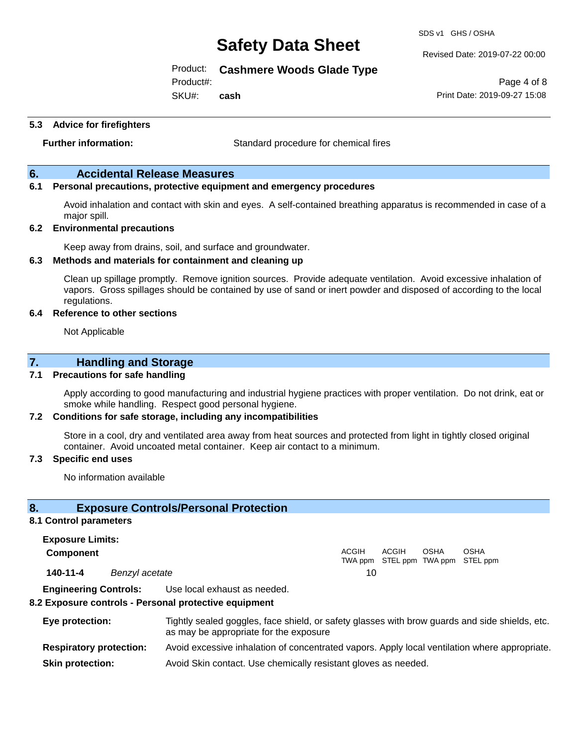SDS v1 GHS / OSHA

Revised Date: 2019-07-22 00:00

Print Date: 2019-09-27 15:08

Page 4 of 8

### Product: **Cashmere Woods Glade Type**

Product#:

SKU#: **cash**

**5.3 Advice for firefighters**

**Further information:** Standard procedure for chemical fires

### **6. Accidental Release Measures**

### **6.1 Personal precautions, protective equipment and emergency procedures**

Avoid inhalation and contact with skin and eyes. A self-contained breathing apparatus is recommended in case of a major spill.

#### **6.2 Environmental precautions**

Keep away from drains, soil, and surface and groundwater.

#### **6.3 Methods and materials for containment and cleaning up**

Clean up spillage promptly. Remove ignition sources. Provide adequate ventilation. Avoid excessive inhalation of vapors. Gross spillages should be contained by use of sand or inert powder and disposed of according to the local regulations.

#### **6.4 Reference to other sections**

Not Applicable

## **7. Handling and Storage**

#### **7.1 Precautions for safe handling**

Apply according to good manufacturing and industrial hygiene practices with proper ventilation. Do not drink, eat or smoke while handling. Respect good personal hygiene.

#### **7.2 Conditions for safe storage, including any incompatibilities**

Store in a cool, dry and ventilated area away from heat sources and protected from light in tightly closed original container. Avoid uncoated metal container. Keep air contact to a minimum.

#### **7.3 Specific end uses**

No information available

### **8. Exposure Controls/Personal Protection**

#### **8.1 Control parameters**

**Exposure Limits: Component** ACGIH TWA ppm STEL ppm TWA ppm STEL ppm ACGIH OSHA OSHA **140-11-4** *Benzyl acetate* 10

**Engineering Controls:** Use local exhaust as needed.

#### **8.2 Exposure controls - Personal protective equipment**

| Eye protection:                | Tightly sealed goggles, face shield, or safety glasses with brow guards and side shields, etc.<br>as may be appropriate for the exposure |
|--------------------------------|------------------------------------------------------------------------------------------------------------------------------------------|
| <b>Respiratory protection:</b> | Avoid excessive inhalation of concentrated vapors. Apply local ventilation where appropriate.                                            |
| <b>Skin protection:</b>        | Avoid Skin contact. Use chemically resistant gloves as needed.                                                                           |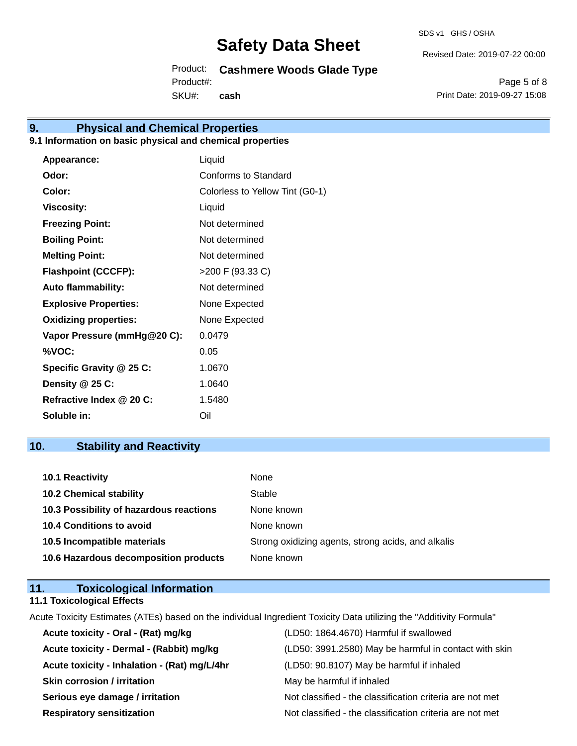SDS v1 GHS / OSHA

Revised Date: 2019-07-22 00:00

Product: **Cashmere Woods Glade Type** SKU#: Product#: **cash**

Page 5 of 8 Print Date: 2019-09-27 15:08

## **9. Physical and Chemical Properties**

## **9.1 Information on basic physical and chemical properties**

| Appearance:                  | Liquid                          |
|------------------------------|---------------------------------|
| Odor:                        | Conforms to Standard            |
| Color:                       | Colorless to Yellow Tint (G0-1) |
| <b>Viscosity:</b>            | Liquid                          |
| <b>Freezing Point:</b>       | Not determined                  |
| <b>Boiling Point:</b>        | Not determined                  |
| <b>Melting Point:</b>        | Not determined                  |
| <b>Flashpoint (CCCFP):</b>   | >200 F (93.33 C)                |
| <b>Auto flammability:</b>    | Not determined                  |
| <b>Explosive Properties:</b> | None Expected                   |
| <b>Oxidizing properties:</b> | None Expected                   |
| Vapor Pressure (mmHg@20 C):  | 0.0479                          |
| %VOC:                        | 0.05                            |
| Specific Gravity @ 25 C:     | 1.0670                          |
| Density @ 25 C:              | 1.0640                          |
| Refractive Index @ 20 C:     | 1.5480                          |
| Soluble in:                  | Oil                             |

## **10. Stability and Reactivity**

| 10.1 Reactivity                         | None                                               |
|-----------------------------------------|----------------------------------------------------|
| <b>10.2 Chemical stability</b>          | Stable                                             |
| 10.3 Possibility of hazardous reactions | None known                                         |
| <b>10.4 Conditions to avoid</b>         | None known                                         |
| 10.5 Incompatible materials             | Strong oxidizing agents, strong acids, and alkalis |
| 10.6 Hazardous decomposition products   | None known                                         |

| 11. | <b>Toxicological Information</b>  |  |
|-----|-----------------------------------|--|
|     | <b>11.1 Toxicological Effects</b> |  |

Acute Toxicity Estimates (ATEs) based on the individual Ingredient Toxicity Data utilizing the "Additivity Formula"

| Acute toxicity - Oral - (Rat) mg/kg          | (LD50: 1864.4670) Harmful if swallowed                   |
|----------------------------------------------|----------------------------------------------------------|
| Acute toxicity - Dermal - (Rabbit) mg/kg     | (LD50: 3991.2580) May be harmful in contact with skin    |
| Acute toxicity - Inhalation - (Rat) mg/L/4hr | (LD50: 90.8107) May be harmful if inhaled                |
| <b>Skin corrosion / irritation</b>           | May be harmful if inhaled                                |
| Serious eye damage / irritation              | Not classified - the classification criteria are not met |
| <b>Respiratory sensitization</b>             | Not classified - the classification criteria are not met |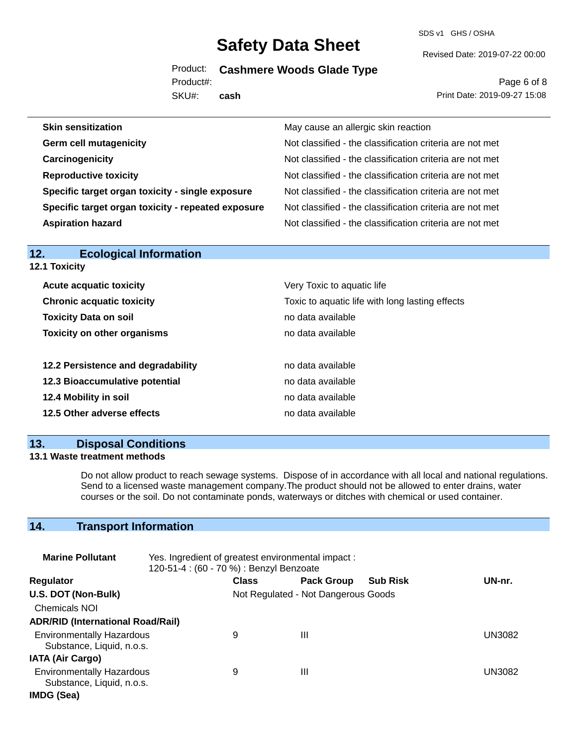SDS v1 GHS / OSHA

Revised Date: 2019-07-22 00:00

Product: **Cashmere Woods Glade Type**

SKU#: Product#: **cash**

#### Page 6 of 8 Print Date: 2019-09-27 15:08

| <b>Skin sensitization</b>                          | May cause an allergic skin reaction                      |
|----------------------------------------------------|----------------------------------------------------------|
| <b>Germ cell mutagenicity</b>                      | Not classified - the classification criteria are not met |
| Carcinogenicity                                    | Not classified - the classification criteria are not met |
| <b>Reproductive toxicity</b>                       | Not classified - the classification criteria are not met |
| Specific target organ toxicity - single exposure   | Not classified - the classification criteria are not met |
| Specific target organ toxicity - repeated exposure | Not classified - the classification criteria are not met |
| <b>Aspiration hazard</b>                           | Not classified - the classification criteria are not met |
|                                                    |                                                          |

| <b>12.1 Toxicity</b>               |                                                 |
|------------------------------------|-------------------------------------------------|
| <b>Acute acquatic toxicity</b>     | Very Toxic to aquatic life                      |
| <b>Chronic acquatic toxicity</b>   | Toxic to aquatic life with long lasting effects |
| <b>Toxicity Data on soil</b>       | no data available                               |
| <b>Toxicity on other organisms</b> | no data available                               |
| 12.2 Persistence and degradability | no data available                               |
| 12.3 Bioaccumulative potential     | no data available                               |
| 12.4 Mobility in soil              | no data available                               |
| 12.5 Other adverse effects         | no data available                               |
|                                    |                                                 |

## **13. Disposal Conditions**

**12. Ecological Information** 

### **13.1 Waste treatment methods**

Do not allow product to reach sewage systems. Dispose of in accordance with all local and national regulations. Send to a licensed waste management company.The product should not be allowed to enter drains, water courses or the soil. Do not contaminate ponds, waterways or ditches with chemical or used container.

## **14. Transport Information**

| <b>Marine Pollutant</b>                                       | Yes. Ingredient of greatest environmental impact:<br>120-51-4 : (60 - 70 %) : Benzyl Benzoate |              |                                     |                 |               |
|---------------------------------------------------------------|-----------------------------------------------------------------------------------------------|--------------|-------------------------------------|-----------------|---------------|
| <b>Regulator</b>                                              |                                                                                               | <b>Class</b> | <b>Pack Group</b>                   | <b>Sub Risk</b> | UN-nr.        |
| U.S. DOT (Non-Bulk)                                           |                                                                                               |              | Not Regulated - Not Dangerous Goods |                 |               |
| <b>Chemicals NOI</b>                                          |                                                                                               |              |                                     |                 |               |
| <b>ADR/RID (International Road/Rail)</b>                      |                                                                                               |              |                                     |                 |               |
| <b>Environmentally Hazardous</b><br>Substance, Liquid, n.o.s. |                                                                                               | 9            | Ш                                   |                 | UN3082        |
| <b>IATA (Air Cargo)</b>                                       |                                                                                               |              |                                     |                 |               |
| <b>Environmentally Hazardous</b><br>Substance, Liquid, n.o.s. |                                                                                               | 9            | Ш                                   |                 | <b>UN3082</b> |
| IMDG (Sea)                                                    |                                                                                               |              |                                     |                 |               |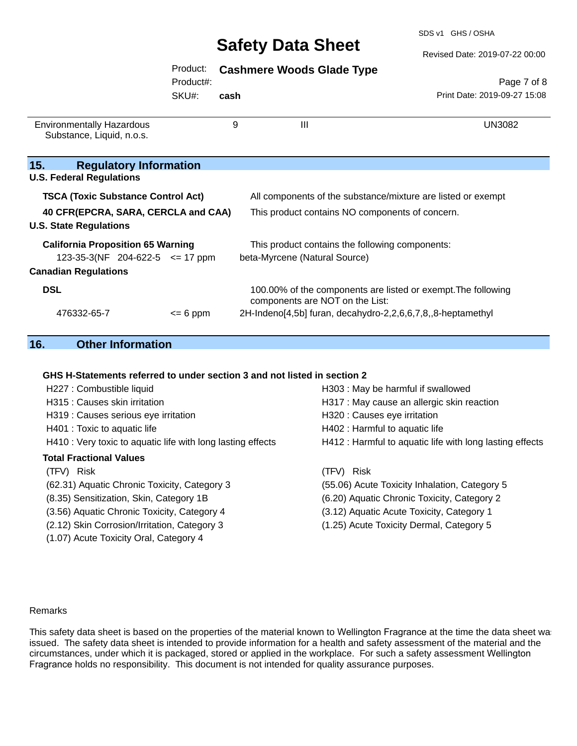SDS v1 GHS / OSHA

#### Revised Date: 2019-07-22 00:00

## Product: **Cashmere Woods Glade Type**

Product#:

SKU#: **cash**

Page 7 of 8 Print Date: 2019-09-27 15:08

| <b>Environmentally Hazardous</b><br>Substance, Liquid, n.o.s. | 9         | Ш                                                                                                | UN3082 |
|---------------------------------------------------------------|-----------|--------------------------------------------------------------------------------------------------|--------|
| 15.<br><b>Regulatory Information</b>                          |           |                                                                                                  |        |
| <b>U.S. Federal Regulations</b>                               |           |                                                                                                  |        |
| <b>TSCA (Toxic Substance Control Act)</b>                     |           | All components of the substance/mixture are listed or exempt                                     |        |
| 40 CFR(EPCRA, SARA, CERCLA and CAA)                           |           | This product contains NO components of concern.                                                  |        |
| <b>U.S. State Regulations</b>                                 |           |                                                                                                  |        |
| <b>California Proposition 65 Warning</b>                      |           | This product contains the following components:                                                  |        |
| 123-35-3(NF 204-622-5 $\le$ 17 ppm                            |           | beta-Myrcene (Natural Source)                                                                    |        |
| <b>Canadian Regulations</b>                                   |           |                                                                                                  |        |
| <b>DSL</b>                                                    |           | 100.00% of the components are listed or exempt. The following<br>components are NOT on the List: |        |
| 476332-65-7                                                   | $= 6$ ppm | 2H-Indeno[4,5b] furan, decahydro-2,2,6,6,7,8,,8-heptamethyl                                      |        |

## **16. Other Information**

#### **GHS H-Statements referred to under section 3 and not listed in section 2**

| H227 : Combustible liquid                                   | H303 : May be harmful if swallowed                       |
|-------------------------------------------------------------|----------------------------------------------------------|
| H315 : Causes skin irritation                               | H317 : May cause an allergic skin reaction               |
| H319 : Causes serious eye irritation                        | H320 : Causes eye irritation                             |
| H401 : Toxic to aquatic life                                | H402 : Harmful to aquatic life                           |
| H410 : Very toxic to aquatic life with long lasting effects | H412 : Harmful to aquatic life with long lasting effects |
| <b>Total Fractional Values</b>                              |                                                          |
| (TFV) Risk                                                  | (TFV) Risk                                               |
| (62.31) Aquatic Chronic Toxicity, Category 3                | (55.06) Acute Toxicity Inhalation, Category 5            |
| (8.35) Sensitization, Skin, Category 1B                     | (6.20) Aquatic Chronic Toxicity, Category 2              |
| (3.56) Aquatic Chronic Toxicity, Category 4                 | (3.12) Aquatic Acute Toxicity, Category 1                |
| (2.12) Skin Corrosion/Irritation, Category 3                | (1.25) Acute Toxicity Dermal, Category 5                 |
| (1.07) Acute Toxicity Oral, Category 4                      |                                                          |

#### Remarks

This safety data sheet is based on the properties of the material known to Wellington Fragrance at the time the data sheet was issued. The safety data sheet is intended to provide information for a health and safety assessment of the material and the circumstances, under which it is packaged, stored or applied in the workplace. For such a safety assessment Wellington Fragrance holds no responsibility. This document is not intended for quality assurance purposes.